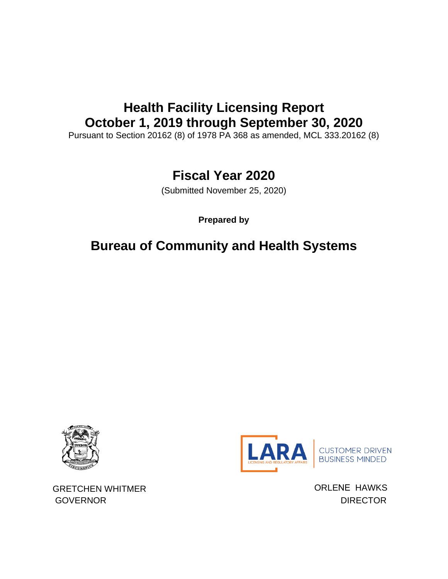# **Health Facility Licensing Report October 1, 2019 through September 30, 2020**

Pursuant to Section 20162 (8) of 1978 PA 368 as amended, MCL 333.20162 (8)

## **Fiscal Year 2020**

(Submitted November 25, 2020)

**Prepared by**

## **Bureau of Community and Health Systems**





GRETCHEN WHITMER **GRETCHEN WHITMER ORLENE HAWKS** GOVERNOR DIRECTOR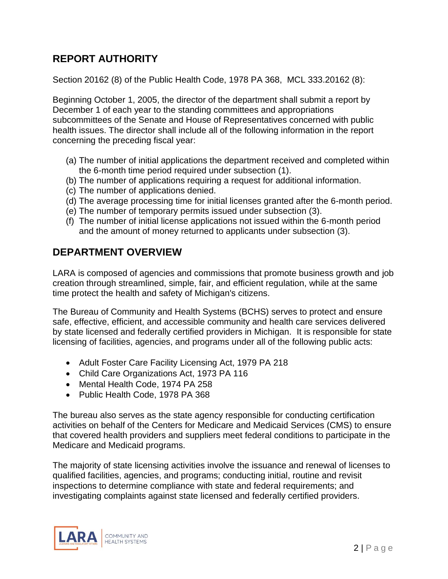## **REPORT AUTHORITY**

Section 20162 (8) of the Public Health Code, 1978 PA 368, MCL 333.20162 (8):

Beginning October 1, 2005, the director of the department shall submit a report by December 1 of each year to the standing committees and appropriations subcommittees of the Senate and House of Representatives concerned with public health issues. The director shall include all of the following information in the report concerning the preceding fiscal year:

- (a) The number of initial applications the department received and completed within the 6-month time period required under subsection (1).
- (b) The number of applications requiring a request for additional information.
- (c) The number of applications denied.
- (d) The average processing time for initial licenses granted after the 6-month period.
- (e) The number of temporary permits issued under subsection (3).
- (f) The number of initial license applications not issued within the 6-month period and the amount of money returned to applicants under subsection (3).

### **DEPARTMENT OVERVIEW**

LARA is composed of agencies and commissions that promote business growth and job creation through streamlined, simple, fair, and efficient regulation, while at the same time protect the health and safety of Michigan's citizens.

The Bureau of Community and Health Systems (BCHS) serves to protect and ensure safe, effective, efficient, and accessible community and health care services delivered by state licensed and federally certified providers in Michigan. It is responsible for state licensing of facilities, agencies, and programs under all of the following public acts:

- Adult Foster Care Facility Licensing Act, 1979 PA 218
- Child Care Organizations Act, 1973 PA 116
- Mental Health Code, 1974 PA 258
- Public Health Code, 1978 PA 368

The bureau also serves as the state agency responsible for conducting certification activities on behalf of the Centers for Medicare and Medicaid Services (CMS) to ensure that covered health providers and suppliers meet federal conditions to participate in the Medicare and Medicaid programs.

The majority of state licensing activities involve the issuance and renewal of licenses to qualified facilities, agencies, and programs; conducting initial, routine and revisit inspections to determine compliance with state and federal requirements; and investigating complaints against state licensed and federally certified providers.

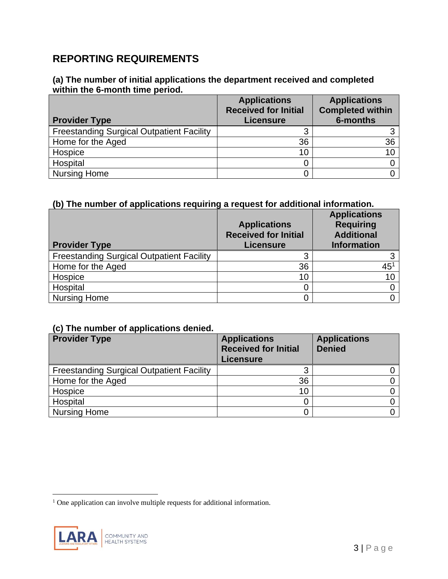### **REPORTING REQUIREMENTS**

#### **(a) The number of initial applications the department received and completed within the 6-month time period.**

| <b>Provider Type</b>                             | <b>Applications</b><br><b>Received for Initial</b><br><b>Licensure</b> | <b>Applications</b><br><b>Completed within</b><br>6-months |
|--------------------------------------------------|------------------------------------------------------------------------|------------------------------------------------------------|
| <b>Freestanding Surgical Outpatient Facility</b> |                                                                        |                                                            |
| Home for the Aged                                | 36                                                                     | 36                                                         |
| Hospice                                          | 10                                                                     | 10                                                         |
| Hospital                                         |                                                                        |                                                            |
| <b>Nursing Home</b>                              |                                                                        |                                                            |

#### **(b) The number of applications requiring a request for additional information.**

| <b>Provider Type</b>                             | <b>Applications</b><br><b>Received for Initial</b><br><b>Licensure</b> | <b>Applications</b><br><b>Requiring</b><br><b>Additional</b><br><b>Information</b> |
|--------------------------------------------------|------------------------------------------------------------------------|------------------------------------------------------------------------------------|
| <b>Freestanding Surgical Outpatient Facility</b> |                                                                        |                                                                                    |
| Home for the Aged                                | 36                                                                     | $45^1$                                                                             |
| Hospice                                          | 10                                                                     | 10                                                                                 |
| Hospital                                         |                                                                        |                                                                                    |
| <b>Nursing Home</b>                              |                                                                        |                                                                                    |

#### **(c) The number of applications denied.**

| <b>Provider Type</b>                             | <b>Applications</b><br><b>Received for Initial</b><br><b>Licensure</b> | <b>Applications</b><br><b>Denied</b> |
|--------------------------------------------------|------------------------------------------------------------------------|--------------------------------------|
| <b>Freestanding Surgical Outpatient Facility</b> |                                                                        |                                      |
| Home for the Aged                                | 36                                                                     |                                      |
| Hospice                                          | 10                                                                     |                                      |
| Hospital                                         |                                                                        |                                      |
| Nursing Home                                     |                                                                        |                                      |

<sup>&</sup>lt;sup>1</sup> One application can involve multiple requests for additional information.